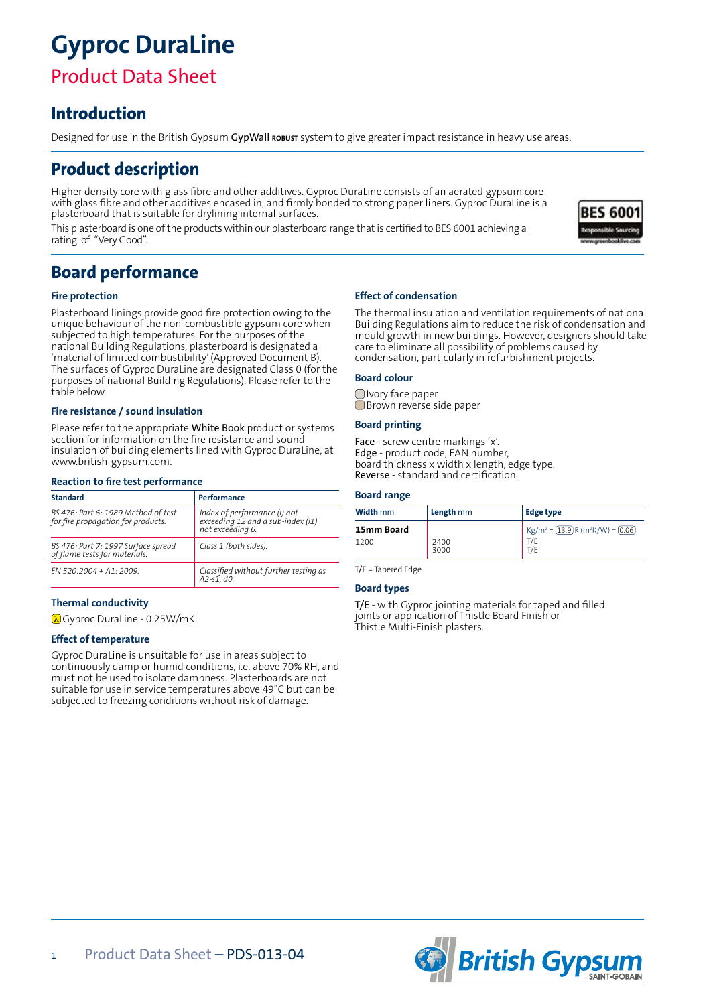# **Gyproc DuraLine**

## Product Data Sheet

### **Introduction**

Designed for use in the British Gypsum GypWall **robust** system to give greater impact resistance in heavy use areas.

### **Product description**

Higher density core with glass fibre and other additives. Gyproc DuraLine consists of an aerated gypsum core with glass fibre and other additives encased in, and firmly bonded to strong paper liners. Gyproc DuraLine is a plasterboard that is suitable for drylining internal surfaces.

This plasterboard is one of the products within our plasterboard range that is certified to BES 6001 achieving a rating of "Very Good".

### **Board performance**

#### **Fire protection**

Plasterboard linings provide good fire protection owing to the unique behaviour of the non-combustible gypsum core when subjected to high temperatures. For the purposes of the national Building Regulations, plasterboard is designated a 'material of limited combustibility' (Approved Document B). The surfaces of Gyproc DuraLine are designated Class 0 (for the purposes of national Building Regulations). Please refer to the table below.

#### **Fire resistance / sound insulation**

Please refer to the appropriate White Book product or systems section for information on the fire resistance and sound insulation of building elements lined with Gyproc DuraLine, at www.british-gypsum.com.

#### **Reaction to fire test performance**

| <b>Standard</b>                                                           | Performance                                                                           |
|---------------------------------------------------------------------------|---------------------------------------------------------------------------------------|
| BS 476: Part 6: 1989 Method of test<br>for fire propagation for products. | Index of performance (I) not<br>exceeding 12 and a sub-index (i1)<br>not exceeding 6. |
| BS 476: Part 7: 1997 Surface spread<br>of flame tests for materials.      | Class 1 (both sides).                                                                 |
| $FN$ 520:2004 + A1: 2009.                                                 | Classified without further testing as<br>$A2-SI, d0.$                                 |

#### **Thermal conductivity**

0.25W/mK ∂

#### **Effect of temperature**

Gyproc DuraLine is unsuitable for use in areas subject to continuously damp or humid conditions, i.e. above 70% RH, and must not be used to isolate dampness. Plasterboards are not suitable for use in service temperatures above 49°C but can be subjected to freezing conditions without risk of damage.

#### **Effect of condensation**

The thermal insulation and ventilation requirements of national Building Regulations aim to reduce the risk of condensation and mould growth in new buildings. However, designers should take care to eliminate all possibility of problems caused by condensation, particularly in refurbishment projects.

#### **Board colour**

Ivory face paper Brown reverse side paper

#### **Board printing**

Face - screw centre markings 'x'. Edge - product code, EAN number, board thickness x width x length, edge type. Reverse - standard and certification.

#### **Board range**

| <b>Width</b> mm | Length <sub>mm</sub> | <b>Edge type</b>                    |
|-----------------|----------------------|-------------------------------------|
| 15mm Board      |                      | $Kg/m^2 = (13.9)R(m^2K/W) = (0.06)$ |
| 1200            | 2400<br>3000         |                                     |

T/E = Tapered Edge

#### **Board types**

T/E - with Gyproc jointing materials for taped and filled joints or application of Thistle Board Finish or Thistle Multi-Finish plasters.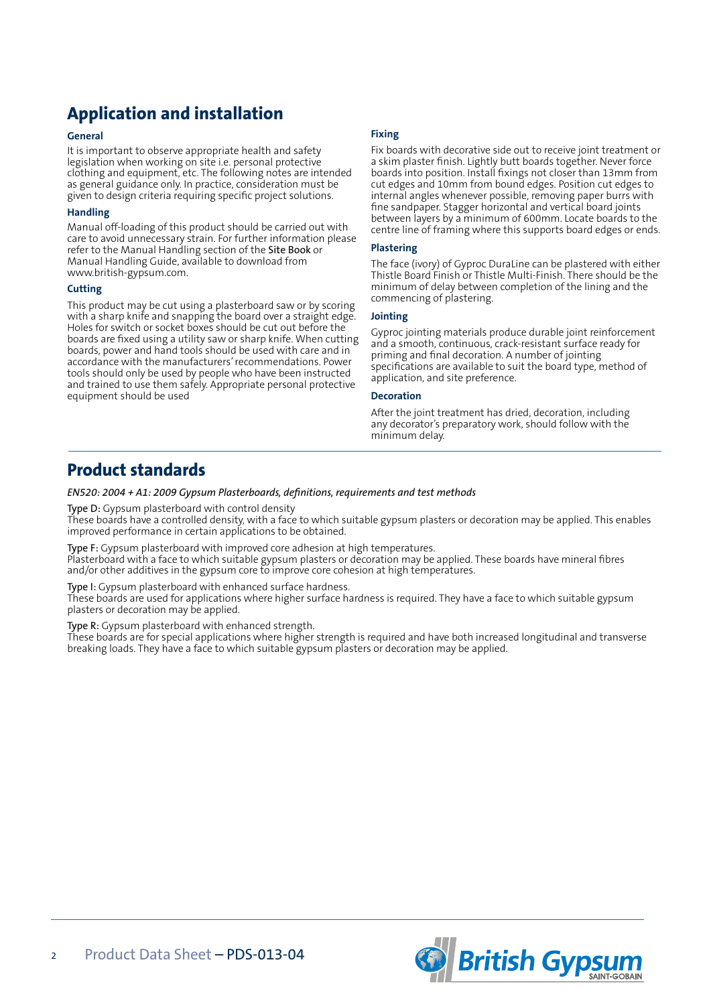### **Application and installation**

#### **General**

It is important to observe appropriate health and safety legislation when working on site i.e. personal protective clothing and equipment, etc. The following notes are intended as general guidance only. In practice, consideration must be given to design criteria requiring specific project solutions.

#### **Handling**

Manual off-loading of this product should be carried out with care to avoid unnecessary strain. For further information please refer to the Manual Handling section of the Site Book or Manual Handling Guide, available to download from www.british-gypsum.com.

#### **Cutting**

This product may be cut using a plasterboard saw or by scoring with a sharp knife and snapping the board over a straight edge. Holes for switch or socket boxes should be cut out before the boards are fixed using a utility saw or sharp knife. When cutting boards, power and hand tools should be used with care and in accordance with the manufacturers' recommendations. Power tools should only be used by people who have been instructed and trained to use them safely. Appropriate personal protective equipment should be used

### **Fixing**

Fix boards with decorative side out to receive joint treatment or a skim plaster finish. Lightly butt boards together. Never force boards into position. Install fixings not closer than 13mm from cut edges and 10mm from bound edges. Position cut edges to internal angles whenever possible, removing paper burrs with fine sandpaper. Stagger horizontal and vertical board joints between layers by a minimum of 600mm. Locate boards to the centre line of framing where this supports board edges or ends.

#### **Plastering**

The face (ivory) of Gyproc DuraLine can be plastered with either Thistle Board Finish or Thistle Multi-Finish. There should be the minimum of delay between completion of the lining and the commencing of plastering.

#### **Jointing**

Gyproc jointing materials produce durable joint reinforcement and a smooth, continuous, crack-resistant surface ready for priming and final decoration. A number of jointing specifications are available to suit the board type, method of application, and site preference.

#### **Decoration**

After the joint treatment has dried, decoration, including any decorator's preparatory work, should follow with the minimum delay.

### **Product standards**

*EN520: 2004 + A1: 2009 Gypsum Plasterboards, definitions, requirements and test methods*

Type D: Gypsum plasterboard with control density

These boards have a controlled density, with a face to which suitable gypsum plasters or decoration may be applied. This enables improved performance in certain applications to be obtained.

Type F: Gypsum plasterboard with improved core adhesion at high temperatures.

Plasterboard with a face to which suitable gypsum plasters or decoration may be applied. These boards have mineral fibres and/or other additives in the gypsum core to improve core cohesion at high temperatures.

Type I: Gypsum plasterboard with enhanced surface hardness.

These boards are used for applications where higher surface hardness is required. They have a face to which suitable gypsum plasters or decoration may be applied.

Type R: Gypsum plasterboard with enhanced strength.

These boards are for special applications where higher strength is required and have both increased longitudinal and transverse breaking loads. They have a face to which suitable gypsum plasters or decoration may be applied.